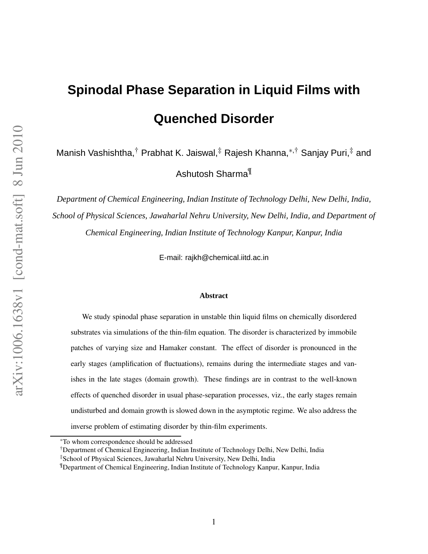# **Spinodal Phase Separation in Liquid Films with Quenched Disorder**

Manish Vashishtha,<sup>†</sup> Prabhat K. Jaiswal,<sup>‡</sup> Rajesh Khanna,<sup>\*,†</sup> Sanjay Puri,<sup>‡</sup> and

Ashutosh Sharma¶

*Department of Chemical Engineering, Indian Institute of Technology Delhi, New Delhi, India, School of Physical Sciences, Jawaharlal Nehru University, New Delhi, India, and Department of Chemical Engineering, Indian Institute of Technology Kanpur, Kanpur, India*

E-mail: rajkh@chemical.iitd.ac.in

#### **Abstract**

We study spinodal phase separation in unstable thin liquid films on chemically disordered substrates via simulations of the thin-film equation. The disorder is characterized by immobile patches of varying size and Hamaker constant. The effect of disorder is pronounced in the early stages (amplification of fluctuations), remains during the intermediate stages and vanishes in the late stages (domain growth). These findings are in contrast to the well-known effects of quenched disorder in usual phase-separation processes, viz., the early stages remain undisturbed and domain growth is slowed down in the asymptotic regime. We also address the inverse problem of estimating disorder by thin-film experiments.

†Department of Chemical Engineering, Indian Institute of Technology Delhi, New Delhi, India

<sup>∗</sup>To whom correspondence should be addressed

<sup>‡</sup>School of Physical Sciences, Jawaharlal Nehru University, New Delhi, India

<sup>¶</sup>Department of Chemical Engineering, Indian Institute of Technology Kanpur, Kanpur, India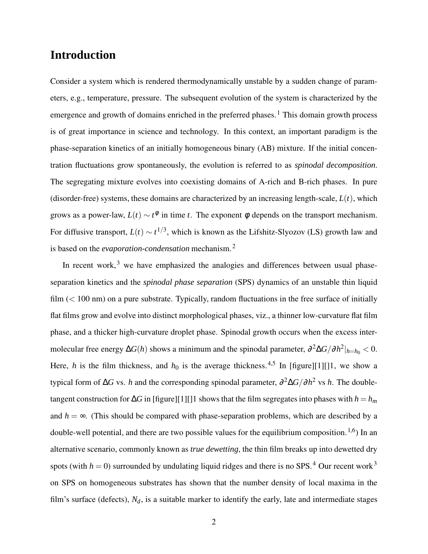### **Introduction**

Consider a system which is rendered thermodynamically unstable by a sudden change of parameters, e.g., temperature, pressure. The subsequent evolution of the system is characterized by the emergence and growth of domains enriched in the preferred phases.<sup>1</sup> This domain growth process is of great importance in science and technology. In this context, an important paradigm is the phase-separation kinetics of an initially homogeneous binary (AB) mixture. If the initial concentration fluctuations grow spontaneously, the evolution is referred to as *spinodal decomposition*. The segregating mixture evolves into coexisting domains of A-rich and B-rich phases. In pure (disorder-free) systems, these domains are characterized by an increasing length-scale, *L*(*t*), which grows as a power-law,  $L(t) \sim t^{\phi}$  in time *t*. The exponent  $\phi$  depends on the transport mechanism. For diffusive transport,  $L(t) \sim t^{1/3}$ , which is known as the Lifshitz-Slyozov (LS) growth law and is based on the *evaporation-condensation* mechanism.<sup>2</sup>

In recent work, $3$  we have emphasized the analogies and differences between usual phaseseparation kinetics and the *spinodal phase separation* (SPS) dynamics of an unstable thin liquid film  $(< 100 \text{ nm})$  on a pure substrate. Typically, random fluctuations in the free surface of initially flat films grow and evolve into distinct morphological phases, viz., a thinner low-curvature flat film phase, and a thicker high-curvature droplet phase. Spinodal growth occurs when the excess intermolecular free energy ∆*G*(*h*) shows a minimum and the spinodal parameter, ∂ <sup>2</sup>∆*G*/∂*h* 2 |*h*=*h*<sup>0</sup> < 0. Here, *h* is the film thickness, and  $h_0$  is the average thickness.<sup>4,5</sup> In [figure][1][1], we show a typical form of ∆*G* vs. *h* and the corresponding spinodal parameter, ∂ <sup>2</sup>∆*G*/∂*h* <sup>2</sup> vs *h*. The doubletangent construction for  $\Delta G$  in [figure][1][]1 shows that the film segregates into phases with  $h = h_m$ and  $h = \infty$ . (This should be compared with phase-separation problems, which are described by a double-well potential, and there are two possible values for the equilibrium composition.<sup>1,6</sup>) In an alternative scenario, commonly known as *true dewetting*, the thin film breaks up into dewetted dry spots (with  $h = 0$ ) surrounded by undulating liquid ridges and there is no SPS.<sup>4</sup> Our recent work<sup>3</sup> on SPS on homogeneous substrates has shown that the number density of local maxima in the film's surface (defects),  $N_d$ , is a suitable marker to identify the early, late and intermediate stages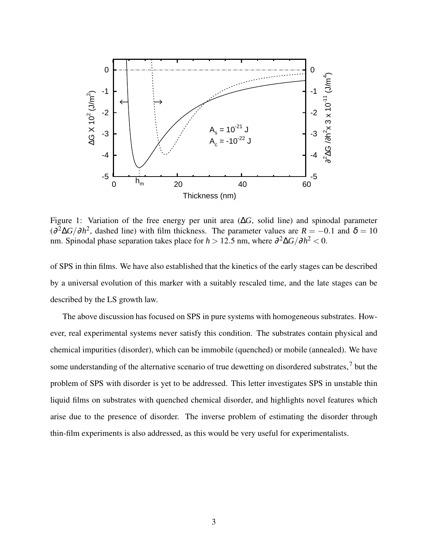

Figure 1: Variation of the free energy per unit area (∆*G*, solid line) and spinodal parameter  $\left(\frac{\partial^2 \Delta G}{\partial h^2}\right)$ , dashed line) with film thickness. The parameter values are  $R = -0.1$  and  $\delta = 10$ nm. Spinodal phase separation takes place for  $h > 12.5$  nm, where  $\partial^2 \Delta G / \partial h^2 < 0$ .

of SPS in thin films. We have also established that the kinetics of the early stages can be described by a universal evolution of this marker with a suitably rescaled time, and the late stages can be described by the LS growth law.

The above discussion has focused on SPS in pure systems with homogeneous substrates. However, real experimental systems never satisfy this condition. The substrates contain physical and chemical impurities (disorder), which can be immobile (quenched) or mobile (annealed). We have some understanding of the alternative scenario of true dewetting on disordered substrates,<sup>7</sup> but the problem of SPS with disorder is yet to be addressed. This letter investigates SPS in unstable thin liquid films on substrates with quenched chemical disorder, and highlights novel features which arise due to the presence of disorder. The inverse problem of estimating the disorder through thin-film experiments is also addressed, as this would be very useful for experimentalists.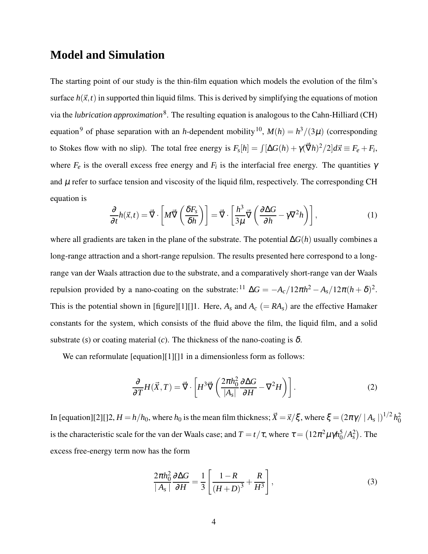### **Model and Simulation**

The starting point of our study is the thin-film equation which models the evolution of the film's surface  $h(\vec{x},t)$  in supported thin liquid films. This is derived by simplifying the equations of motion via the *lubrication approximation*<sup>8</sup>. The resulting equation is analogous to the Cahn-Hilliard (CH) equation<sup>9</sup> of phase separation with an *h*-dependent mobility<sup>10</sup>,  $M(h) = h^3/(3\mu)$  (corresponding to Stokes flow with no slip). The total free energy is  $F_s[h] = \int [\Delta G(h) + \gamma(\vec{\nabla}h)^2/2]d\vec{x} \equiv F_e + F_i$ , where  $F_e$  is the overall excess free energy and  $F_i$  is the interfacial free energy. The quantities  $\gamma$ and  $\mu$  refer to surface tension and viscosity of the liquid film, respectively. The corresponding CH equation is

$$
\frac{\partial}{\partial t}h(\vec{x},t) = \vec{\nabla} \cdot \left[ M \vec{\nabla} \left( \frac{\delta F_s}{\delta h} \right) \right] = \vec{\nabla} \cdot \left[ \frac{h^3}{3\mu} \vec{\nabla} \left( \frac{\partial \Delta G}{\partial h} - \gamma \nabla^2 h \right) \right],\tag{1}
$$

where all gradients are taken in the plane of the substrate. The potential ∆*G*(*h*) usually combines a long-range attraction and a short-range repulsion. The results presented here correspond to a longrange van der Waals attraction due to the substrate, and a comparatively short-range van der Waals repulsion provided by a nano-coating on the substrate:<sup>11</sup>  $\Delta G = -A_c/12\pi h^2 - A_s/12\pi (h+\delta)^2$ . This is the potential shown in [figure][1][]1. Here,  $A_s$  and  $A_c$  (=  $RA_s$ ) are the effective Hamaker constants for the system, which consists of the fluid above the film, the liquid film, and a solid substrate (*s*) or coating material (*c*). The thickness of the nano-coating is  $\delta$ .

We can reformulate [equation][1][]1 in a dimensionless form as follows:

$$
\frac{\partial}{\partial T} H(\vec{X}, T) = \vec{\nabla} \cdot \left[ H^3 \vec{\nabla} \left( \frac{2\pi h_0^2}{|A_s|} \frac{\partial \Delta G}{\partial H} - \nabla^2 H \right) \right].
$$
\n(2)

In [equation][2][]2,  $H = h/h_0$ , where  $h_0$  is the mean film thickness;  $\vec{X} = \vec{x}/\xi$ , where  $\xi = (2\pi\gamma/|A_s|)^{1/2} h_0^2$ is the characteristic scale for the van der Waals case; and  $T = t/\tau$ , where  $\tau = (12\pi^2\mu\gamma h_0^5)$  $_{0}^{5}/A_{s}^{2}$ ). The excess free-energy term now has the form

$$
\frac{2\pi h_0^2}{|A_s|}\frac{\partial \Delta G}{\partial H} = \frac{1}{3} \left[ \frac{1 - R}{\left(H + D\right)^3} + \frac{R}{H^3} \right],\tag{3}
$$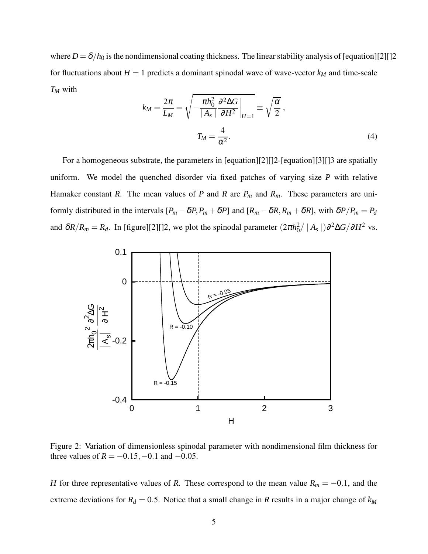where  $D = \delta/h_0$  is the nondimensional coating thickness. The linear stability analysis of [equation][2][]2 for fluctuations about  $H = 1$  predicts a dominant spinodal wave of wave-vector  $k_M$  and time-scale *T<sup>M</sup>* with

$$
k_M = \frac{2\pi}{L_M} = \sqrt{-\frac{\pi h_0^2}{|A_s|} \frac{\partial^2 \Delta G}{\partial H^2}}\bigg|_{H=1} \equiv \sqrt{\frac{\alpha}{2}},
$$
  

$$
T_M = \frac{4}{\alpha^2}.
$$
 (4)

For a homogeneous substrate, the parameters in [equation][2][]2-[equation][3][]3 are spatially uniform. We model the quenched disorder via fixed patches of varying size *P* with relative Hamaker constant *R*. The mean values of *P* and *R* are  $P_m$  and  $R_m$ . These parameters are uniformly distributed in the intervals  $[P_m - \delta P, P_m + \delta P]$  and  $[R_m - \delta R, R_m + \delta R]$ , with  $\delta P/P_m = P_d$ and  $\delta R/R_m = R_d$ . In [figure][2][]2, we plot the spinodal parameter  $(2\pi h_0^2 / |A_s|) \partial^2 \Delta G / \partial H^2$  vs.



Figure 2: Variation of dimensionless spinodal parameter with nondimensional film thickness for three values of  $R = -0.15, -0.1$  and  $-0.05$ .

*H* for three representative values of *R*. These correspond to the mean value  $R_m = -0.1$ , and the extreme deviations for  $R_d = 0.5$ . Notice that a small change in *R* results in a major change of  $k_M$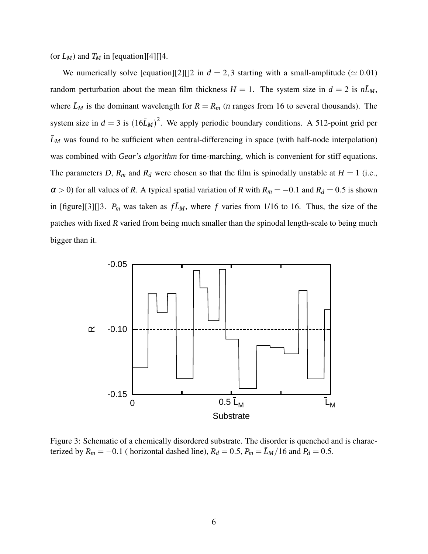(or  $L_M$ ) and  $T_M$  in [equation][4][]4.

We numerically solve [equation][2][]2 in  $d = 2,3$  starting with a small-amplitude ( $\simeq 0.01$ ) random perturbation about the mean film thickness  $H = 1$ . The system size in  $d = 2$  is  $n\bar{L}_M$ , where  $\bar{L}_M$  is the dominant wavelength for  $R = R_m$  (*n* ranges from 16 to several thousands). The system size in  $d = 3$  is  $(16\bar{L}_M)^2$ . We apply periodic boundary conditions. A 512-point grid per  $\bar{L}_M$  was found to be sufficient when central-differencing in space (with half-node interpolation) was combined with *Gear's algorithm* for time-marching, which is convenient for stiff equations. The parameters *D*,  $R_m$  and  $R_d$  were chosen so that the film is spinodally unstable at  $H = 1$  (i.e.,  $\alpha > 0$ ) for all values of *R*. A typical spatial variation of *R* with  $R_m = -0.1$  and  $R_d = 0.5$  is shown in [figure][3][]3.  $P_m$  was taken as  $f\bar{L}_M$ , where f varies from 1/16 to 16. Thus, the size of the patches with fixed *R* varied from being much smaller than the spinodal length-scale to being much bigger than it.



Figure 3: Schematic of a chemically disordered substrate. The disorder is quenched and is characterized by  $R_m = -0.1$  (horizontal dashed line),  $R_d = 0.5$ ,  $P_m = \bar{L}_M/16$  and  $P_d = 0.5$ .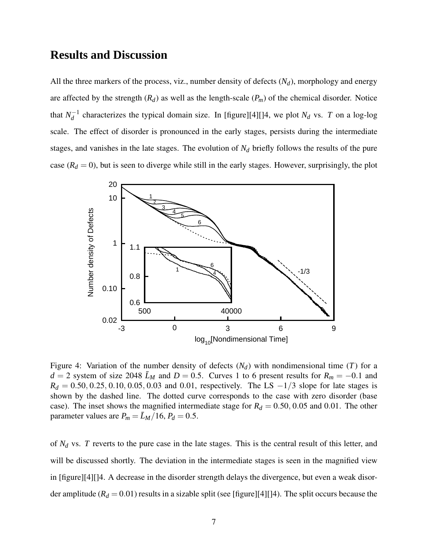#### **Results and Discussion**

All the three markers of the process, viz., number density of defects  $(N_d)$ , morphology and energy are affected by the strength  $(R_d)$  as well as the length-scale  $(P_m)$  of the chemical disorder. Notice that  $N_d^{-1}$  $d_d^{-1}$  characterizes the typical domain size. In [figure][4][]4, we plot  $N_d$  vs. *T* on a log-log scale. The effect of disorder is pronounced in the early stages, persists during the intermediate stages, and vanishes in the late stages. The evolution of *N<sup>d</sup>* briefly follows the results of the pure case  $(R_d = 0)$ , but is seen to diverge while still in the early stages. However, surprisingly, the plot



Figure 4: Variation of the number density of defects  $(N_d)$  with nondimensional time  $(T)$  for a  $d = 2$  system of size 2048  $\bar{L}_M$  and  $D = 0.5$ . Curves 1 to 6 present results for  $R_m = -0.1$  and  $R_d = 0.50, 0.25, 0.10, 0.05, 0.03$  and 0.01, respectively. The LS  $-1/3$  slope for late stages is shown by the dashed line. The dotted curve corresponds to the case with zero disorder (base case). The inset shows the magnified intermediate stage for  $R_d = 0.50, 0.05$  and 0.01. The other parameter values are  $P_m = \bar{L}_M/16$ ,  $P_d = 0.5$ .

of *N<sup>d</sup>* vs. *T* reverts to the pure case in the late stages. This is the central result of this letter, and will be discussed shortly. The deviation in the intermediate stages is seen in the magnified view in [figure][4][]4. A decrease in the disorder strength delays the divergence, but even a weak disorder amplitude ( $R_d$  = 0.01) results in a sizable split (see [figure][4][]4). The split occurs because the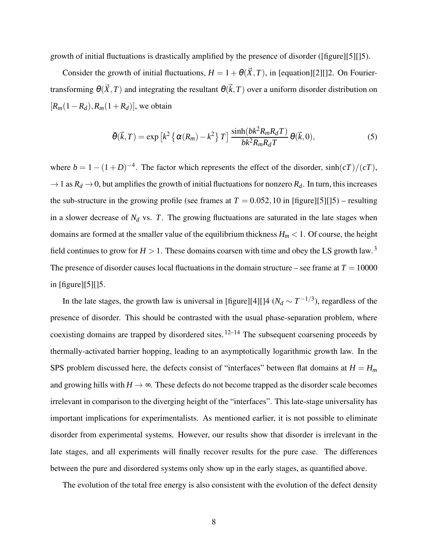growth of initial fluctuations is drastically amplified by the presence of disorder ([figure][5][]5).

Consider the growth of initial fluctuations,  $H = 1 + \theta(\vec{X}, T)$ , in [equation][2][]2. On Fouriertransforming  $\theta(\vec{X},T)$  and integrating the resultant  $\theta(\vec{k},T)$  over a uniform disorder distribution on  $[R_m(1-R_d), R_m(1+R_d)]$ , we obtain

$$
\bar{\theta}(\vec{k},T) = \exp\left[k^2 \left\{\alpha(R_m) - k^2\right\} T\right] \frac{\sinh(bk^2 R_m R_d T)}{bk^2 R_m R_d T} \theta(\vec{k},0),\tag{5}
$$

where  $b = 1 - (1 + D)^{-4}$ . The factor which represents the effect of the disorder, sinh( $cT$ )/( $cT$ ),  $\rightarrow$  1 as  $R_d \rightarrow$  0, but amplifies the growth of initial fluctuations for nonzero  $R_d$ . In turn, this increases the sub-structure in the growing profile (see frames at  $T = 0.052, 10$  in [figure][5][]5) – resulting in a slower decrease of  $N_d$  vs.  $T$ . The growing fluctuations are saturated in the late stages when domains are formed at the smaller value of the equilibrium thickness  $H_m < 1$ . Of course, the height field continues to grow for  $H > 1$ . These domains coarsen with time and obey the LS growth law.<sup>3</sup> The presence of disorder causes local fluctuations in the domain structure – see frame at  $T = 10000$ in [figure][5][]5.

In the late stages, the growth law is universal in [figure][4][]4 ( $N_d \sim T^{-1/3}$ ), regardless of the presence of disorder. This should be contrasted with the usual phase-separation problem, where coexisting domains are trapped by disordered sites.<sup>12–14</sup> The subsequent coarsening proceeds by thermally-activated barrier hopping, leading to an asymptotically logarithmic growth law. In the SPS problem discussed here, the defects consist of "interfaces" between flat domains at  $H = H_m$ and growing hills with  $H \rightarrow \infty$ . These defects do not become trapped as the disorder scale becomes irrelevant in comparison to the diverging height of the "interfaces". This late-stage universality has important implications for experimentalists. As mentioned earlier, it is not possible to eliminate disorder from experimental systems. However, our results show that disorder is irrelevant in the late stages, and all experiments will finally recover results for the pure case. The differences between the pure and disordered systems only show up in the early stages, as quantified above.

The evolution of the total free energy is also consistent with the evolution of the defect density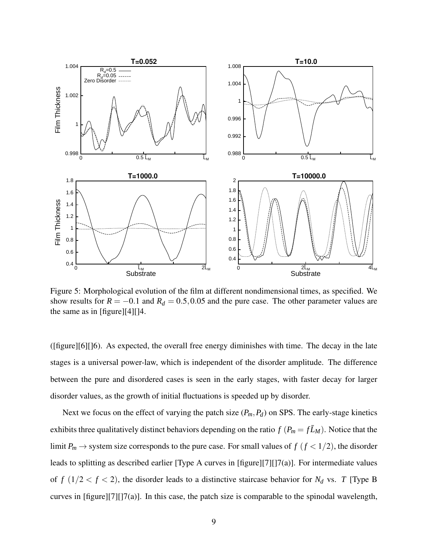

Figure 5: Morphological evolution of the film at different nondimensional times, as specified. We show results for  $R = -0.1$  and  $R_d = 0.5, 0.05$  and the pure case. The other parameter values are the same as in [figure][4][]4.

([figure][6][]6). As expected, the overall free energy diminishes with time. The decay in the late stages is a universal power-law, which is independent of the disorder amplitude. The difference between the pure and disordered cases is seen in the early stages, with faster decay for larger disorder values, as the growth of initial fluctuations is speeded up by disorder.

Next we focus on the effect of varying the patch size  $(P_m, P_d)$  on SPS. The early-stage kinetics exhibits three qualitatively distinct behaviors depending on the ratio  $f(P_m = f\bar{L}_M)$ . Notice that the limit  $P_m \to$  system size corresponds to the pure case. For small values of  $f$  ( $f$  < 1/2), the disorder leads to splitting as described earlier [Type A curves in [figure][7][]7(a)]. For intermediate values of  $f(1/2 < f < 2)$ , the disorder leads to a distinctive staircase behavior for  $N_d$  vs. *T* [Type B curves in [figure][7][]7(a)]. In this case, the patch size is comparable to the spinodal wavelength,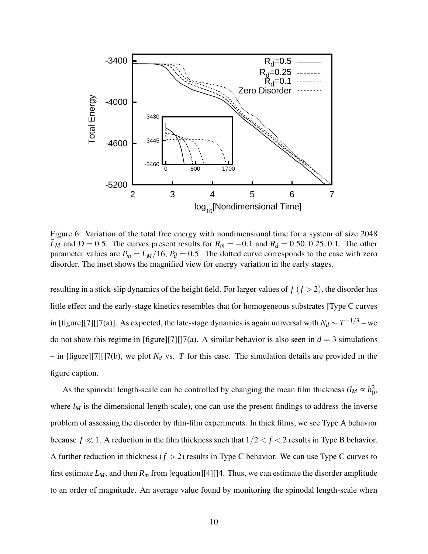

Figure 6: Variation of the total free energy with nondimensional time for a system of size 2048  $\bar{L}_M$  and  $D = 0.5$ . The curves present results for  $R_m = -0.1$  and  $R_d = 0.50, 0.25, 0.1$ . The other parameter values are  $P_m = \bar{L}_M/16$ ,  $P_d = 0.5$ . The dotted curve corresponds to the case with zero disorder. The inset shows the magnified view for energy variation in the early stages.

resulting in a stick-slip dynamics of the height field. For larger values of  $f(f > 2)$ , the disorder has little effect and the early-stage kinetics resembles that for homogeneous substrates [Type C curves in [figure][7][]7(a)]. As expected, the late-stage dynamics is again universal with  $N_d \sim T^{-1/3}$  – we do not show this regime in [figure][7][]7(a). A similar behavior is also seen in  $d = 3$  simulations  $-$  in [figure][7][]7(b), we plot  $N_d$  vs. *T* for this case. The simulation details are provided in the figure caption.

As the spinodal length-scale can be controlled by changing the mean film thickness ( $l_M \propto h_0^2$ ), where  $l_M$  is the dimensional length-scale), one can use the present findings to address the inverse problem of assessing the disorder by thin-film experiments. In thick films, we see Type A behavior because  $f \ll 1$ . A reduction in the film thickness such that  $1/2 < f < 2$  results in Type B behavior. A further reduction in thickness  $(f > 2)$  results in Type C behavior. We can use Type C curves to first estimate  $L_M$ , and then  $R_m$  from [equation][4][]4. Thus, we can estimate the disorder amplitude to an order of magnitude. An average value found by monitoring the spinodal length-scale when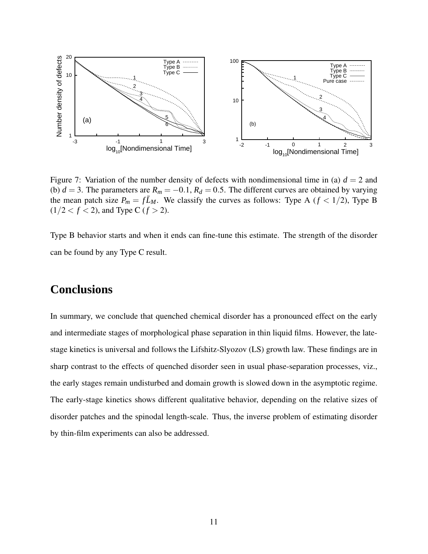

Figure 7: Variation of the number density of defects with nondimensional time in (a)  $d = 2$  and (b)  $d = 3$ . The parameters are  $R_m = -0.1$ ,  $R_d = 0.5$ . The different curves are obtained by varying the mean patch size  $P_m = f\bar{L}_M$ . We classify the curves as follows: Type A ( $f < 1/2$ ), Type B  $(1/2 < f < 2)$ , and Type C  $(f > 2)$ .

Type B behavior starts and when it ends can fine-tune this estimate. The strength of the disorder can be found by any Type C result.

## **Conclusions**

In summary, we conclude that quenched chemical disorder has a pronounced effect on the early and intermediate stages of morphological phase separation in thin liquid films. However, the latestage kinetics is universal and follows the Lifshitz-Slyozov (LS) growth law. These findings are in sharp contrast to the effects of quenched disorder seen in usual phase-separation processes, viz., the early stages remain undisturbed and domain growth is slowed down in the asymptotic regime. The early-stage kinetics shows different qualitative behavior, depending on the relative sizes of disorder patches and the spinodal length-scale. Thus, the inverse problem of estimating disorder by thin-film experiments can also be addressed.